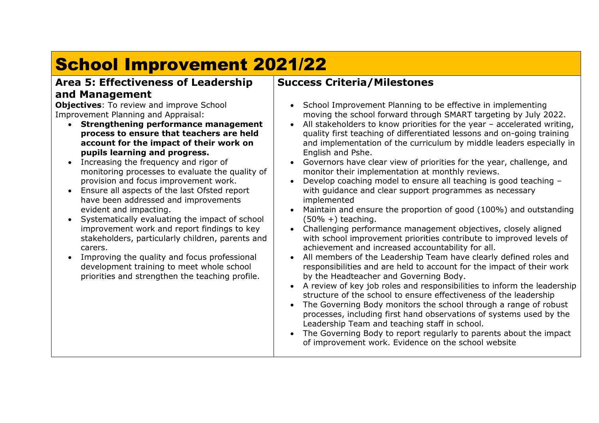## School Improvement 2021/22

## **Area 5: Effectiveness of Leadership and Management**

**Objectives:** To review and improve School Improvement Planning and Appraisal:

- **Strengthening performance management process to ensure that teachers are held account for the impact of their work on pupils learning and progress.**
- Increasing the frequency and rigor of monitoring processes to evaluate the quality of provision and focus improvement work.
- Ensure all aspects of the last Ofsted report have been addressed and improvements evident and impacting.
- Systematically evaluating the impact of school improvement work and report findings to key stakeholders, particularly children, parents and carers.
- Improving the quality and focus professional development training to meet whole school priorities and strengthen the teaching profile.

## **Success Criteria/Milestones**

- School Improvement Planning to be effective in implementing moving the school forward through SMART targeting by July 2022.
- All stakeholders to know priorities for the year accelerated writing, quality first teaching of differentiated lessons and on-going training and implementation of the curriculum by middle leaders especially in English and Pshe.
- Governors have clear view of priorities for the year, challenge, and monitor their implementation at monthly reviews.
- Develop coaching model to ensure all teaching is good teaching with guidance and clear support programmes as necessary implemented
- Maintain and ensure the proportion of good (100%) and outstanding  $(50\% +)$  teaching.
- Challenging performance management objectives, closely aligned with school improvement priorities contribute to improved levels of achievement and increased accountability for all.
- All members of the Leadership Team have clearly defined roles and responsibilities and are held to account for the impact of their work by the Headteacher and Governing Body.
- A review of key job roles and responsibilities to inform the leadership structure of the school to ensure effectiveness of the leadership
- The Governing Body monitors the school through a range of robust processes, including first hand observations of systems used by the Leadership Team and teaching staff in school.
- The Governing Body to report regularly to parents about the impact of improvement work. Evidence on the school website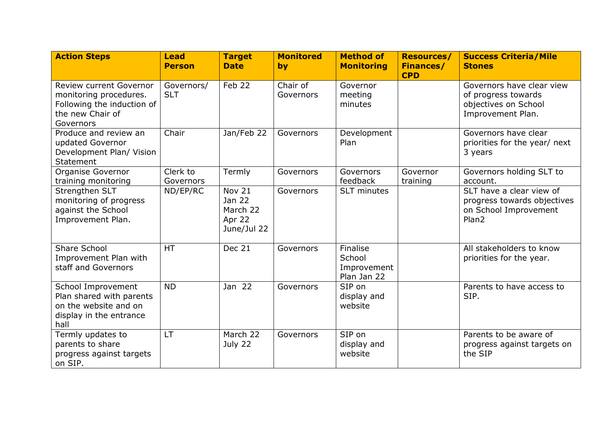| <b>Action Steps</b>                                                                                              | <b>Lead</b><br><b>Person</b> | <b>Target</b><br><b>Date</b>                          | <b>Monitored</b><br>by | <b>Method of</b><br><b>Monitoring</b>            | <b>Resources/</b><br><b>Finances/</b><br><b>CPD</b> | <b>Success Criteria/Mile</b><br><b>Stones</b>                                                         |
|------------------------------------------------------------------------------------------------------------------|------------------------------|-------------------------------------------------------|------------------------|--------------------------------------------------|-----------------------------------------------------|-------------------------------------------------------------------------------------------------------|
| Review current Governor<br>monitoring procedures.<br>Following the induction of<br>the new Chair of<br>Governors | Governors/<br><b>SLT</b>     | Feb 22                                                | Chair of<br>Governors  | Governor<br>meeting<br>minutes                   |                                                     | Governors have clear view<br>of progress towards<br>objectives on School<br>Improvement Plan.         |
| Produce and review an<br>updated Governor<br>Development Plan/ Vision<br>Statement                               | Chair                        | Jan/Feb 22                                            | Governors              | Development<br>Plan                              |                                                     | Governors have clear<br>priorities for the year/ next<br>3 years                                      |
| Organise Governor<br>training monitoring                                                                         | Clerk to<br>Governors        | Termly                                                | Governors              | Governors<br>feedback                            | Governor<br>training                                | Governors holding SLT to<br>account.                                                                  |
| Strengthen SLT<br>monitoring of progress<br>against the School<br>Improvement Plan.                              | ND/EP/RC                     | Nov 21<br>Jan 22<br>March 22<br>Apr 22<br>June/Jul 22 | Governors              | <b>SLT</b> minutes                               |                                                     | SLT have a clear view of<br>progress towards objectives<br>on School Improvement<br>Plan <sub>2</sub> |
| Share School<br>Improvement Plan with<br>staff and Governors                                                     | <b>HT</b>                    | Dec 21                                                | Governors              | Finalise<br>School<br>Improvement<br>Plan Jan 22 |                                                     | All stakeholders to know<br>priorities for the year.                                                  |
| School Improvement<br>Plan shared with parents<br>on the website and on<br>display in the entrance<br>hall       | <b>ND</b>                    | Jan 22                                                | Governors              | SIP on<br>display and<br>website                 |                                                     | Parents to have access to<br>SIP.                                                                     |
| Termly updates to<br>parents to share<br>progress against targets<br>on SIP.                                     | <b>LT</b>                    | March 22<br>July 22                                   | Governors              | SIP on<br>display and<br>website                 |                                                     | Parents to be aware of<br>progress against targets on<br>the SIP                                      |